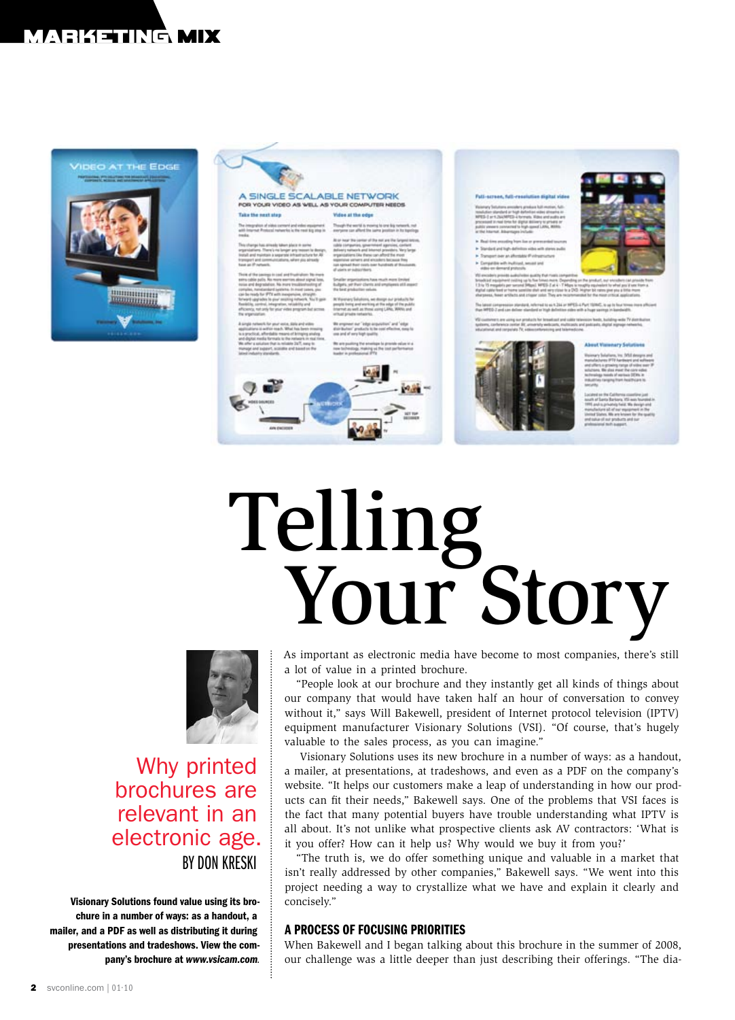# marketing mix



| A SINGLE SCALABLE NETWORK<br>FOR YOUR VIDEO AS WELL AS YOUR COMPUTER NEEDS.                                                                                                                                                                                                                                                                                                                                                                                                                                                                                                                                                                                                                                                              |                                                                                                                                                                                                                                                                                                                                                                                                                                                                                                                                                                                                                                                                                | Full-screen, full-resolution digital video                                                                                                                                                                                                                                                                                                                                                                                                                                                                                                                                                                                                                                                                                                                                                                                                                                                                                                                                                                                              |
|------------------------------------------------------------------------------------------------------------------------------------------------------------------------------------------------------------------------------------------------------------------------------------------------------------------------------------------------------------------------------------------------------------------------------------------------------------------------------------------------------------------------------------------------------------------------------------------------------------------------------------------------------------------------------------------------------------------------------------------|--------------------------------------------------------------------------------------------------------------------------------------------------------------------------------------------------------------------------------------------------------------------------------------------------------------------------------------------------------------------------------------------------------------------------------------------------------------------------------------------------------------------------------------------------------------------------------------------------------------------------------------------------------------------------------|-----------------------------------------------------------------------------------------------------------------------------------------------------------------------------------------------------------------------------------------------------------------------------------------------------------------------------------------------------------------------------------------------------------------------------------------------------------------------------------------------------------------------------------------------------------------------------------------------------------------------------------------------------------------------------------------------------------------------------------------------------------------------------------------------------------------------------------------------------------------------------------------------------------------------------------------------------------------------------------------------------------------------------------------|
| Take the next step                                                                                                                                                                                                                                                                                                                                                                                                                                                                                                                                                                                                                                                                                                                       | Vidue at the odes                                                                                                                                                                                                                                                                                                                                                                                                                                                                                                                                                                                                                                                              | Watertary Seluktors arousders presius bull motive, Adi-<br>tendudge standard at high dated as oldes streams on<br>MFES-1 or 1. ZazAFFES-a hymata. Mike and audio and                                                                                                                                                                                                                                                                                                                                                                                                                                                                                                                                                                                                                                                                                                                                                                                                                                                                    |
| The integration of sides content and vales equipment.<br>with internat Protectal naturalis is the rest kip step in                                                                                                                                                                                                                                                                                                                                                                                                                                                                                                                                                                                                                       | Though the world is moving to one kip network, not<br>assrgame can afford the same proditor in he topology.                                                                                                                                                                                                                                                                                                                                                                                                                                                                                                                                                                    | processed in real firms for digital delivery to private or<br>public viewers connected to high-speed LANs, Militi-<br>at the hourset. Advertisers include:<br>in Real-time availing high lise or greenarded tourism<br>> Standard and high-definition video with stares audio<br>in Transport over an afformate of infrastructure.<br>In Campatible with inaffiliast, second and<br>sides an demand protestic.<br>VISI encoder's principle audio/index qualify that rivals competible<br>broadcast equipment costing up to five frimes more. Ongending on the pr<br>1.3 to 15 magakits per second SReps). WRS-2 at 4 - 7 Mars is roughly a<br>started cable feed or harms sensitive shat wind serv close to a DVS. Higher<br>sharpeess, heart artifacts and crisper color. They are recommended for<br>The latest compression standard, referred to as 4,264 or MPES-4 Purt 1<br>than MFED-7 and can deliver standard or high definition sides with a hy<br>VSI contemporates are using now products for broadcast and colds relevision |
| tracks.<br>This change has alreads taken place in some<br>organizations. There's no longer any teasen to design.<br>liketail and maintain a separate infrastructure for Ali<br>fromsport and communications, when you simular<br><b>Equal and Printmash.</b><br>There of the servings to cool and thushiplices No mure<br>extra-cable polis. No more werties alous signal loss,<br>tolia and degrabation. No insin trealizationting of<br>complex, mendantiand systems, in most cases, you<br>calcle reads for PTE with inexpensive, straight-<br>forward upgrades to plur secting network. No 3 gain-<br>Resisting control, integration, reliability and<br>efficiency, net only for your video program but screen-<br>the wheelvastian | Bl or insur the center of the not are the fargest lettos.<br>cable companies, sphermment approves, contant<br>delivery naturals and internet president. Very large<br>arganizations like these can after the most<br>especialus servers and encoders because free<br>Jan spread their costs over fundrich at Bounceres.<br>of users or subscribers.<br>Smaller arganizations have much more limited<br>Euliph), while clients and employees of 8 moved<br>the best analysise values.<br>It Vareney Salutons, we morge our products for<br>people intrig and working at the odge of the public.<br>Internet as well, as those using LMA: WWW. and<br>with all private networks. |                                                                                                                                                                                                                                                                                                                                                                                                                                                                                                                                                                                                                                                                                                                                                                                                                                                                                                                                                                                                                                         |
| & simple nationals for your vestes, diplo and wides<br>applications is activity touch. What has been integray<br>is a proclical, afterdable means of bringing analog.<br>and displai: media formals: to the insteams in rise time.<br>We offer a solution that is reliable 2kT, easy to<br>Hanage and support, scandia and based on the<br>lated industry standards.                                                                                                                                                                                                                                                                                                                                                                     | We engineer our "inter-acquisition" and "intui-<br>shareholders' products to be need effective, meants<br>son and of servicing rassiller.<br>Bit are qualified the american to provide value of a<br>new fashestogy, Haking us the cost performance<br>loader in professional SPTE                                                                                                                                                                                                                                                                                                                                                                                             | tystems, conference center Bit, prinerfully wellscarts, multicasts and paid<br>ellucational and remember TV, edisconstituteing and falamedones.                                                                                                                                                                                                                                                                                                                                                                                                                                                                                                                                                                                                                                                                                                                                                                                                                                                                                         |

Telling Your Story



Why printed brochures are relevant in an electronic age. By Don Kreski

Visionary Solutions found value using its brochure in a number of ways: as a handout, a mailer, and a PDF as well as distributing it during presentations and tradeshows. View the company's brochure at *www.vsicam.com.*

As important as electronic media have become to most companies, there's still a lot of value in a printed brochure.

"People look at our brochure and they instantly get all kinds of things about our company that would have taken half an hour of conversation to convey without it," says Will Bakewell, president of Internet protocol television (IPTV) equipment manufacturer Visionary Solutions (VSI). "Of course, that's hugely valuable to the sales process, as you can imagine."

Visionary Solutions uses its new brochure in a number of ways: as a handout, a mailer, at presentations, at tradeshows, and even as a PDF on the company's website. "It helps our customers make a leap of understanding in how our products can fit their needs," Bakewell says. One of the problems that VSI faces is the fact that many potential buyers have trouble understanding what IPTV is all about. It's not unlike what prospective clients ask AV contractors: 'What is it you offer? How can it help us? Why would we buy it from you?'

"The truth is, we do offer something unique and valuable in a market that isn't really addressed by other companies," Bakewell says. "We went into this project needing a way to crystallize what we have and explain it clearly and concisely."

### A PROCESS OF FOCUSING PRIORITIES

When Bakewell and I began talking about this brochure in the summer of 2008, our challenge was a little deeper than just describing their offerings. "The dia-



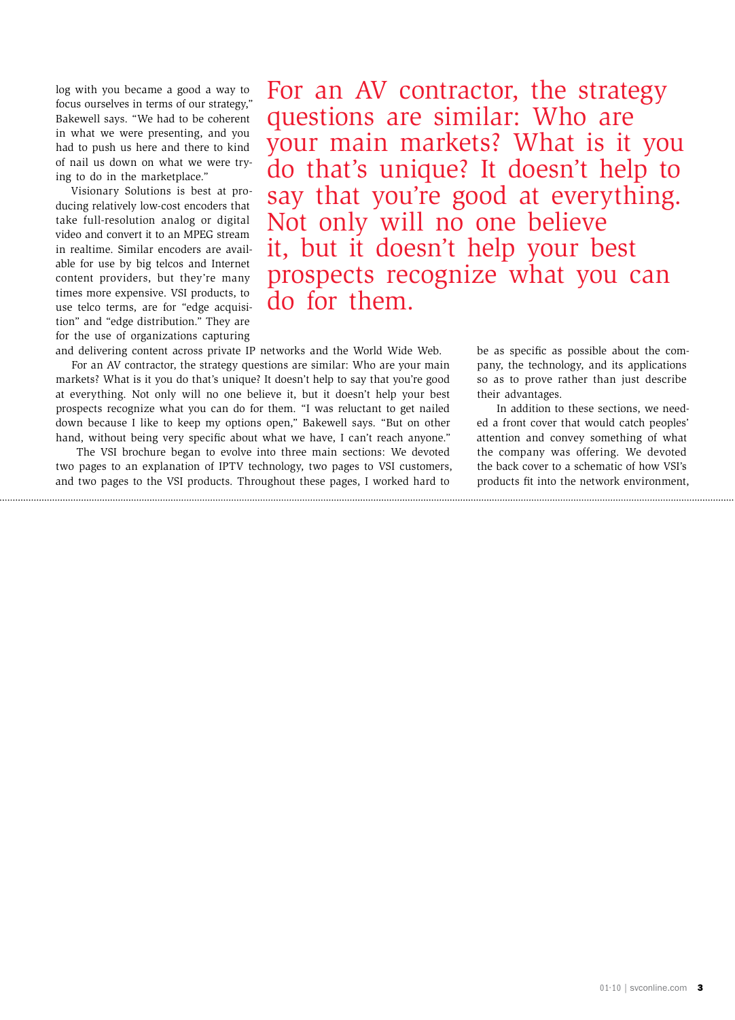log with you became a good a way to focus ourselves in terms of our strategy," Bakewell says. "We had to be coherent in what we were presenting, and you had to push us here and there to kind of nail us down on what we were trying to do in the marketplace."

Visionary Solutions is best at producing relatively low-cost encoders that take full-resolution analog or digital video and convert it to an MPEG stream in realtime. Similar encoders are available for use by big telcos and Internet content providers, but they're many times more expensive. VSI products, to use telco terms, are for "edge acquisition" and "edge distribution." They are for the use of organizations capturing

For an AV contractor, the strategy questions are similar: Who are your main markets? What is it you do that's unique? It doesn't help to say that you're good at everything. Not only will no one believe it, but it doesn't help your best prospects recognize what you can do for them.

and delivering content across private IP networks and the World Wide Web. For an AV contractor, the strategy questions are similar: Who are your main markets? What is it you do that's unique? It doesn't help to say that you're good at everything. Not only will no one believe it, but it doesn't help your best prospects recognize what you can do for them. "I was reluctant to get nailed down because I like to keep my options open," Bakewell says. "But on other hand, without being very specific about what we have, I can't reach anyone."

 The VSI brochure began to evolve into three main sections: We devoted two pages to an explanation of IPTV technology, two pages to VSI customers, and two pages to the VSI products. Throughout these pages, I worked hard to

be as specific as possible about the company, the technology, and its applications so as to prove rather than just describe their advantages.

 In addition to these sections, we needed a front cover that would catch peoples' attention and convey something of what the company was offering. We devoted the back cover to a schematic of how VSI's products fit into the network environment,